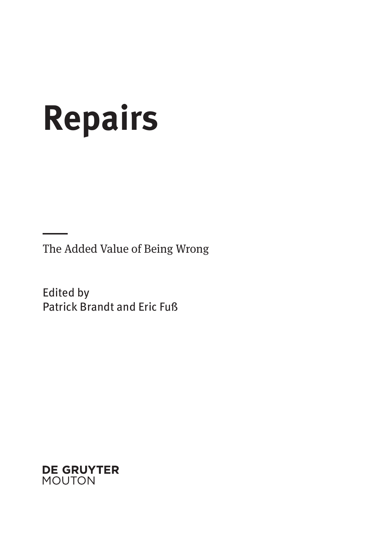# **Repairs**

The Added Value of Being Wrong

Edited by Patrick Brandt and Eric Fuß

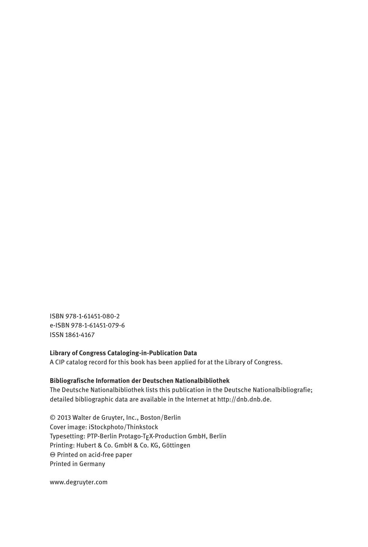ISBN 978-1-61451-080-2 e-ISBN 978-1-61451-079-6 ISSN 1861-4167

#### **Library of Congress Cataloging-in-Publication Data**

A CIP catalog record for this book has been applied for at the Library of Congress.

#### **Bibliografische Information der Deutschen Nationalbibliothek**

The Deutsche Nationalbibliothek lists this publication in the Deutsche Nationalbibliografie; detailed bibliographic data are available in the Internet at http://dnb.dnb.de.

© 2013 Walter de Gruyter, Inc., Boston/Berlin Cover image: iStockphoto/Thinkstock Typesetting: PTP-Berlin Protago-TEX-Production GmbH, Berlin Printing: Hubert & Co. GmbH & Co. KG, Göttingen ♾ Printed on acid-free paper Printed in Germany

www.degruyter.com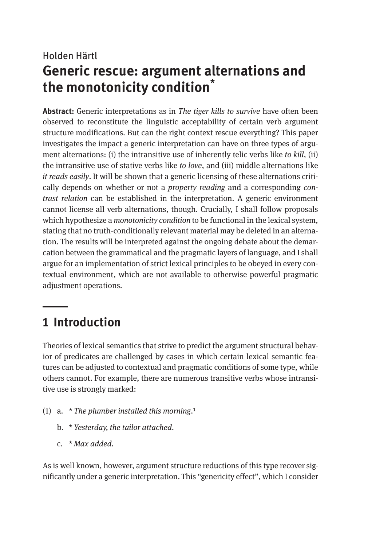# Holden Härtl **Generic rescue: argument alternations and the monotonicity condition\***

**Abstract:** Generic interpretations as in *The tiger kills to survive* have often been observed to reconstitute the linguistic acceptability of certain verb argument structure modifications. But can the right context rescue everything? This paper investigates the impact a generic interpretation can have on three types of argument alternations: (i) the intransitive use of inherently telic verbs like *to kill*, (ii) the intransitive use of stative verbs like *to love*, and (iii) middle alternations like *it reads easily*. It will be shown that a generic licensing of these alternations critically depends on whether or not a *property reading* and a corresponding *contrast relation* can be established in the interpretation. A generic environment cannot license all verb alternations, though. Crucially, I shall follow proposals which hypothesize a *monotonicity condition* to be functional in the lexical system, stating that no truth-conditionally relevant material may be deleted in an alternation. The results will be interpreted against the ongoing debate about the demarcation between the grammatical and the pragmatic layers of language, and I shall argue for an implementation of strict lexical principles to be obeyed in every contextual environment, which are not available to otherwise powerful pragmatic adjustment operations.

# **1 Introduction**

Theories of lexical semantics that strive to predict the argument structural behavior of predicates are challenged by cases in which certain lexical semantic features can be adjusted to contextual and pragmatic conditions of some type, while others cannot. For example, there are numerous transitive verbs whose intransitive use is strongly marked:

- (1) a.  $*$ *The plumber installed this morning.*<sup>1</sup>
	- b. \* *Yesterday, the tailor attached.*
	- c. \* *Max added.*

As is well known, however, argument structure reductions of this type recover significantly under a generic interpretation. This "genericity effect", which I consider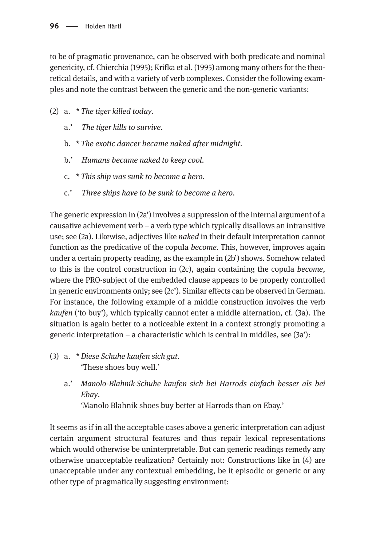96 **-** Holden Härtl

to be of pragmatic provenance, can be observed with both predicate and nominal genericity, cf. Chierchia (1995); Krifka et al. (1995) among many others for the theoretical details, and with a variety of verb complexes. Consider the following examples and note the contrast between the generic and the non-generic variants:

- (2) a. \* *The tiger killed today*.
	- a.' *The tiger kills to survive*.
	- b. \* *The exotic dancer became naked after midnight*.
	- b.' *Humans became naked to keep cool*.
	- c. \* *This ship was sunk to become a hero*.
	- c.' *Three ships have to be sunk to become a hero*.

The generic expression in (2a') involves a suppression of the internal argument of a causative achievement verb – a verb type which typically disallows an intransitive use; see (2a). Likewise, adjectives like *naked* in their default interpretation cannot function as the predicative of the copula *become*. This, however, improves again under a certain property reading, as the example in (2b') shows. Somehow related to this is the control construction in (2c), again containing the copula *become*, where the PRO-subject of the embedded clause appears to be properly controlled in generic environments only; see (2c'). Similar effects can be observed in German. For instance, the following example of a middle construction involves the verb *kaufen* ('to buy'), which typically cannot enter a middle alternation, cf. (3a). The situation is again better to a noticeable extent in a context strongly promoting a generic interpretation – a characteristic which is central in middles, see (3a'):

- (3) a. \* *Diese Schuhe kaufen sich gut*. 'These shoes buy well.'
	- a.' *Manolo-Blahnik-Schuhe kaufen sich bei Harrods einfach besser als bei Ebay*. 'Manolo Blahnik shoes buy better at Harrods than on Ebay.'

It seems as if in all the acceptable cases above a generic interpretation can adjust certain argument structural features and thus repair lexical representations which would otherwise be uninterpretable. But can generic readings remedy any otherwise unacceptable realization? Certainly not: Constructions like in (4) are unacceptable under any contextual embedding, be it episodic or generic or any other type of pragmatically suggesting environment: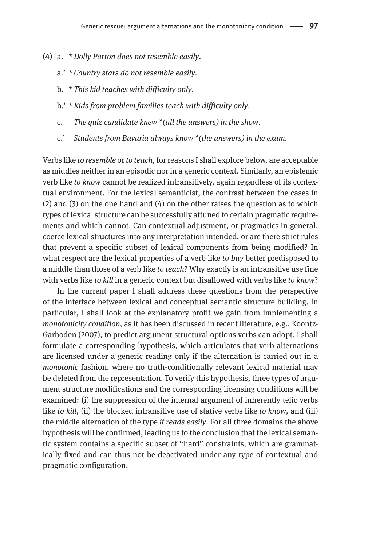- (4) a. \* *Dolly Parton does not resemble easily*.
	- a.' \* *Country stars do not resemble easily*.
	- b. \* *This kid teaches with difficulty only*.
	- b.' \* *Kids from problem families teach with difficulty only*.
	- c. *The quiz candidate knew \*(all the answers) in the show*.
	- c.' *Students from Bavaria always know \*(the answers) in the exam*.

Verbs like *to resemble* or *to teach*, for reasons I shall explore below, are acceptable as middles neither in an episodic nor in a generic context. Similarly, an epistemic verb like *to know* cannot be realized intransitively, again regardless of its contextual environment. For the lexical semanticist, the contrast between the cases in (2) and (3) on the one hand and (4) on the other raises the question as to which types of lexical structure can be successfully attuned to certain pragmatic requirements and which cannot. Can contextual adjustment, or pragmatics in general, coerce lexical structures into any interpretation intended, or are there strict rules that prevent a specific subset of lexical components from being modified? In what respect are the lexical properties of a verb like *to buy* better predisposed to a middle than those of a verb like *to teach*? Why exactly is an intransitive use fine with verbs like *to kill* in a generic context but disallowed with verbs like *to know*?

In the current paper I shall address these questions from the perspective of the interface between lexical and conceptual semantic structure building. In particular, I shall look at the explanatory profit we gain from implementing a *monotonicity condition*, as it has been discussed in recent literature, e.g., Koontz-Garboden (2007), to predict argument-structural options verbs can adopt. I shall formulate a corresponding hypothesis, which articulates that verb alternations are licensed under a generic reading only if the alternation is carried out in a *monotonic* fashion, where no truth-conditionally relevant lexical material may be deleted from the representation. To verify this hypothesis, three types of argument structure modifications and the corresponding licensing conditions will be examined: (i) the suppression of the internal argument of inherently telic verbs like *to kill*, (ii) the blocked intransitive use of stative verbs like *to know*, and (iii) the middle alternation of the type *it reads easily*. For all three domains the above hypothesis will be confirmed, leading us to the conclusion that the lexical semantic system contains a specific subset of "hard" constraints, which are grammatically fixed and can thus not be deactivated under any type of contextual and pragmatic configuration.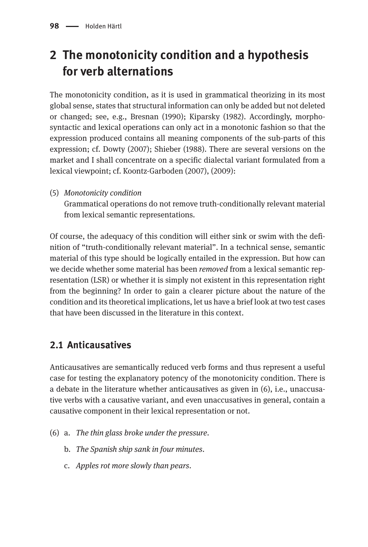# **2 The monotonicity condition and a hypothesis for verb alternations**

The monotonicity condition, as it is used in grammatical theorizing in its most global sense, states that structural information can only be added but not deleted or changed; see, e.g., Bresnan (1990); Kiparsky (1982). Accordingly, morphosyntactic and lexical operations can only act in a monotonic fashion so that the expression produced contains all meaning components of the sub-parts of this expression; cf. Dowty (2007); Shieber (1988). There are several versions on the market and I shall concentrate on a specific dialectal variant formulated from a lexical viewpoint; cf. Koontz-Garboden (2007), (2009):

(5) *Monotonicity condition* 

 Grammatical operations do not remove truth-conditionally relevant material from lexical semantic representations.

Of course, the adequacy of this condition will either sink or swim with the definition of "truth-conditionally relevant material". In a technical sense, semantic material of this type should be logically entailed in the expression. But how can we decide whether some material has been *removed* from a lexical semantic representation (LSR) or whether it is simply not existent in this representation right from the beginning? In order to gain a clearer picture about the nature of the condition and its theoretical implications, let us have a brief look at two test cases that have been discussed in the literature in this context.

## **2.1 Anticausatives**

Anticausatives are semantically reduced verb forms and thus represent a useful case for testing the explanatory potency of the monotonicity condition. There is a debate in the literature whether anticausatives as given in (6), i.e., unaccusative verbs with a causative variant, and even unaccusatives in general, contain a causative component in their lexical representation or not.

- (6) a. *The thin glass broke under the pressure*.
	- b. *The Spanish ship sank in four minutes*.
	- c. *Apples rot more slowly than pears*.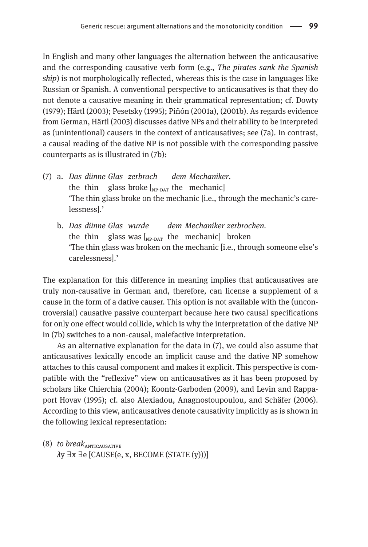In English and many other languages the alternation between the anticausative and the corresponding causative verb form (e.g., *The pirates sank the Spanish ship*) is not morphologically reflected, whereas this is the case in languages like Russian or Spanish. A conventional perspective to anticausatives is that they do not denote a causative meaning in their grammatical representation; cf. Dowty (1979); Härtl (2003); Pesetsky (1995); Piñón (2001a), (2001b). As regards evidence from German, Härtl (2003) discusses dative NPs and their ability to be interpreted as (unintentional) causers in the context of anticausatives; see (7a). In contrast, a causal reading of the dative NP is not possible with the corresponding passive counterparts as is illustrated in (7b):

- (7) a. *Das dünne Glas zerbrach dem Mechaniker*. the thin glass broke  $\left[_{\text{NP-DAT}}\right]$  the mechanic] 'The thin glass broke on the mechanic [i.e., through the mechanic's carelessness].'
	- b. *Das dünne Glas wurde dem Mechaniker zerbrochen.* the thin glass was  $\int_{N_{\text{P-}}\text{D4T}}$  the mechanic broken 'The thin glass was broken on the mechanic [i.e., through someone else's carelessness].'

The explanation for this difference in meaning implies that anticausatives are truly non-causative in German and, therefore, can license a supplement of a cause in the form of a dative causer. This option is not available with the (uncontroversial) causative passive counterpart because here two causal specifications for only one effect would collide, which is why the interpretation of the dative NP in (7b) switches to a non-causal, malefactive interpretation.

As an alternative explanation for the data in (7), we could also assume that anticausatives lexically encode an implicit cause and the dative NP somehow attaches to this causal component and makes it explicit. This perspective is compatible with the "reflexive" view on anticausatives as it has been proposed by scholars like Chierchia (2004); Koontz-Garboden (2009), and Levin and Rappaport Hovav (1995); cf. also Alexiadou, Anagnostoupoulou, and Schäfer (2006). According to this view, anticausatives denote causativity implicitly as is shown in the following lexical representation:

(8) *to break*<sub>ANTICAUSATIVE</sub> *λ*y ∃x ∃e [CAUSE(e, x, BECOME (STATE (y)))]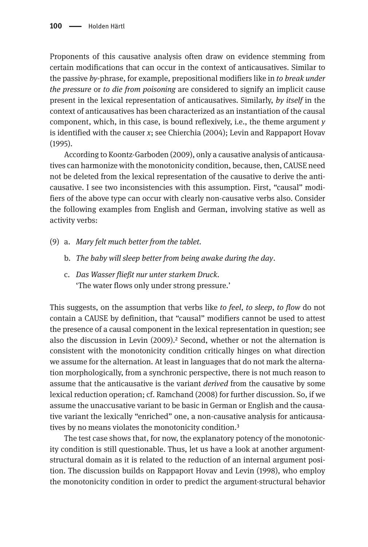Proponents of this causative analysis often draw on evidence stemming from certain modifications that can occur in the context of anticausatives. Similar to the passive *by-*phrase, for example, prepositional modifiers like in *to break under the pressure* or *to die from poisoning* are considered to signify an implicit cause present in the lexical representation of anticausatives. Similarly, *by itself* in the context of anticausatives has been characterized as an instantiation of the causal component, which, in this case, is bound reflexively, i.e., the theme argument *y*  is identified with the causer *x*; see Chierchia (2004); Levin and Rappaport Hovav (1995).

According to Koontz-Garboden (2009), only a causative analysis of anticausatives can harmonize with the monotonicity condition, because, then, CAUSE need not be deleted from the lexical representation of the causative to derive the anticausative. I see two inconsistencies with this assumption. First, "causal" modifiers of the above type can occur with clearly non-causative verbs also. Consider the following examples from English and German, involving stative as well as activity verbs:

- (9) a. *Mary felt much better from the tablet.*
	- b. *The baby will sleep better from being awake during the day*.
	- c. *Das Wasser fließt nur unter starkem Druck*. 'The water flows only under strong pressure.'

This suggests, on the assumption that verbs like *to feel*, *to sleep*, *to flow* do not contain a CAUSE by definition, that "causal" modifiers cannot be used to attest the presence of a causal component in the lexical representation in question; see also the discussion in Levin (2009).² Second, whether or not the alternation is consistent with the monotonicity condition critically hinges on what direction we assume for the alternation. At least in languages that do not mark the alternation morphologically, from a synchronic perspective, there is not much reason to assume that the anticausative is the variant *derived* from the causative by some lexical reduction operation; cf. Ramchand (2008) for further discussion. So, if we assume the unaccusative variant to be basic in German or English and the causative variant the lexically "enriched" one, a non-causative analysis for anticausatives by no means violates the monotonicity condition.<sup>3</sup>

The test case shows that, for now, the explanatory potency of the monotonicity condition is still questionable. Thus, let us have a look at another argumentstructural domain as it is related to the reduction of an internal argument position. The discussion builds on Rappaport Hovav and Levin (1998), who employ the monotonicity condition in order to predict the argument-structural behavior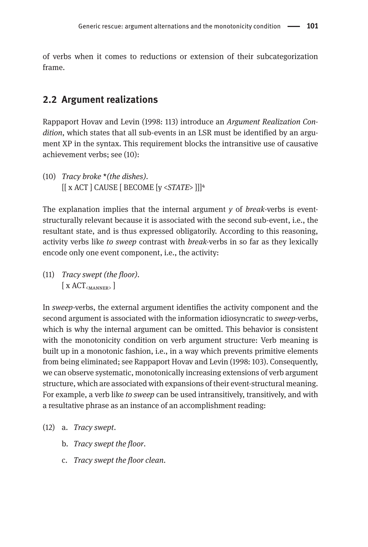of verbs when it comes to reductions or extension of their subcategorization frame.

## **2.2 Argument realizations**

Rappaport Hovav and Levin (1998: 113) introduce an *Argument Realization Condition*, which states that all sub-events in an LSR must be identified by an argument XP in the syntax. This requirement blocks the intransitive use of causative achievement verbs; see (10):

(10) *Tracy broke* \**(the dishes)*. [[ x ACT ] CAUSE [ BECOME [y <*STATE*> ]]]⁴

The explanation implies that the internal argument *y* of *break*-verbs is eventstructurally relevant because it is associated with the second sub-event, i.e., the resultant state, and is thus expressed obligatorily. According to this reasoning, activity verbs like *to sweep* contrast with *break-*verbs in so far as they lexically encode only one event component, i.e., the activity:

(11) *Tracy swept (the floor)*.  $\left[$  x ACT<sub> $\epsilon$ Manner></sub>  $\left]$ 

In *sweep*-verbs, the external argument identifies the activity component and the second argument is associated with the information idiosyncratic to *sweep*-verbs, which is why the internal argument can be omitted. This behavior is consistent with the monotonicity condition on verb argument structure: Verb meaning is built up in a monotonic fashion, i.e., in a way which prevents primitive elements from being eliminated; see Rappaport Hovav and Levin (1998: 103). Consequently, we can observe systematic, monotonically increasing extensions of verb argument structure, which are associated with expansions of their event-structural meaning. For example, a verb like *to sweep* can be used intransitively, transitively, and with a resultative phrase as an instance of an accomplishment reading:

- (12) a. *Tracy swept*.
	- b. *Tracy swept the floor*.
	- c. *Tracy swept the floor clean*.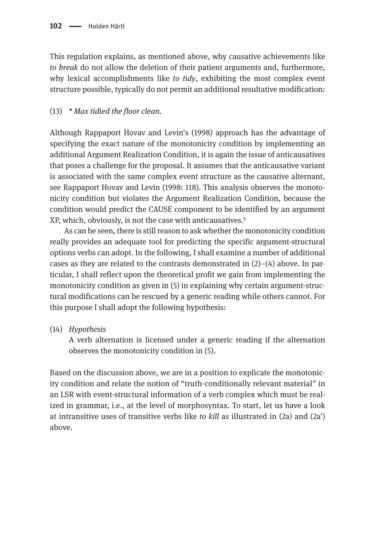This regulation explains, as mentioned above, why causative achievements like *to break* do not allow the deletion of their patient arguments and, furthermore, why lexical accomplishments like *to tidy*, exhibiting the most complex event structure possible, typically do not permit an additional resultative modification:

#### (13) \* *Max tidied the floor clean*.

Although Rappaport Hovav and Levin's (1998) approach has the advantage of specifying the exact nature of the monotonicity condition by implementing an additional Argument Realization Condition, it is again the issue of anticausatives that poses a challenge for the proposal. It assumes that the anticausative variant is associated with the same complex event structure as the causative alternant, see Rappaport Hovav and Levin (1998: 118). This analysis observes the monotonicity condition but violates the Argument Realization Condition, because the condition would predict the CAUSE component to be identified by an argument XP, which, obviously, is not the case with anticausatives.<sup>5</sup>

As can be seen, there is still reason to ask whether the monotonicity condition really provides an adequate tool for predicting the specific argument-structural options verbs can adopt. In the following, I shall examine a number of additional cases as they are related to the contrasts demonstrated in  $(2)-(4)$  above. In particular, I shall reflect upon the theoretical profit we gain from implementing the monotonicity condition as given in (5) in explaining why certain argument-structural modifications can be rescued by a generic reading while others cannot. For this purpose I shall adopt the following hypothesis:

(14) *Hypothesis*

 A verb alternation is licensed under a generic reading if the alternation observes the monotonicity condition in (5).

Based on the discussion above, we are in a position to explicate the monotonicity condition and relate the notion of "truth-conditionally relevant material" in an LSR with event-structural information of a verb complex which must be realized in grammar, i.e., at the level of morphosyntax. To start, let us have a look at intransitive uses of transitive verbs like *to kill* as illustrated in (2a) and (2a') above.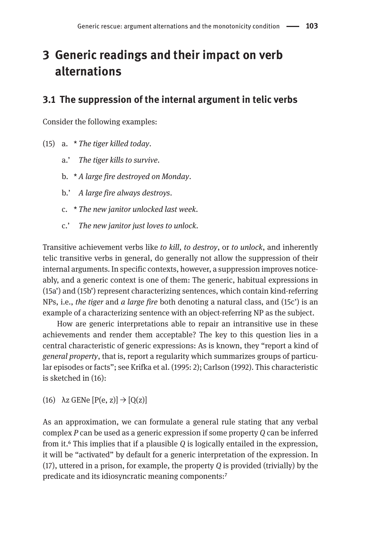# **3 Generic readings and their impact on verb alternations**

## **3.1 The suppression of the internal argument in telic verbs**

Consider the following examples:

- (15) a. \* *The tiger killed today*.
	- a.' *The tiger kills to survive*.
	- b. \* *A large fire destroyed on Monday*.
	- b.' *A large fire always destroys*.
	- c. \* *The new janitor unlocked last week*.
	- c.' *The new janitor just loves to unlock*.

Transitive achievement verbs like *to kill*, *to destroy*, or *to unlock*, and inherently telic transitive verbs in general, do generally not allow the suppression of their internal arguments. In specific contexts, however, a suppression improves noticeably, and a generic context is one of them: The generic, habitual expressions in (15a') and (15b') represent characterizing sentences, which contain kind-referring NPs, i.e., *the tiger* and *a large fire* both denoting a natural class, and (15c') is an example of a characterizing sentence with an object-referring NP as the subject.

How are generic interpretations able to repair an intransitive use in these achievements and render them acceptable? The key to this question lies in a central characteristic of generic expressions: As is known, they "report a kind of *general property*, that is, report a regularity which summarizes groups of particular episodes or facts"; see Krifka et al. (1995: 2); Carlson (1992). This characteristic is sketched in (16):

(16)  $\lambda$ z GENe  $[P(e, z)] \rightarrow [Q(z)]$ 

As an approximation, we can formulate a general rule stating that any verbal complex *P* can be used as a generic expression if some property *Q* can be inferred from it.⁶ This implies that if a plausible *Q* is logically entailed in the expression, it will be "activated" by default for a generic interpretation of the expression. In (17), uttered in a prison, for example, the property *Q* is provided (trivially) by the predicate and its idiosyncratic meaning components:<sup>7</sup>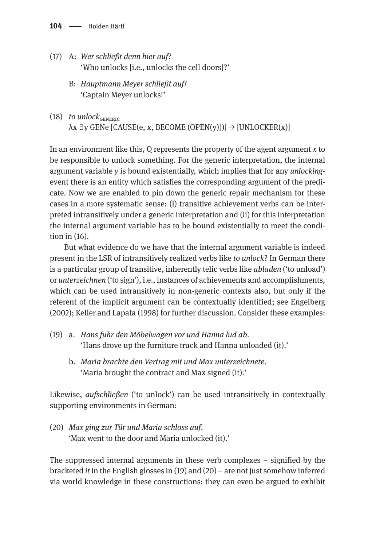- (17) A: *Wer schließt denn hier auf*? 'Who unlocks [i.e., unlocks the cell doors]?'
	- B: *Hauptmann Meyer schließt auf!* 'Captain Meyer unlocks!'
- (18) *to unlock*<sub>GENERIC</sub>  $\lambda$ x  $\exists$ y GENe [CAUSE(e, x, BECOME (OPEN(y)))]  $\rightarrow$  [UNLOCKER(x)]

In an environment like this, Q represents the property of the agent argument *x* to be responsible to unlock something. For the generic interpretation, the internal argument variable *y* is bound existentially, which implies that for any *unlocking*event there is an entity which satisfies the corresponding argument of the predicate. Now we are enabled to pin down the generic repair mechanism for these cases in a more systematic sense: (i) transitive achievement verbs can be interpreted intransitively under a generic interpretation and (ii) for this interpretation the internal argument variable has to be bound existentially to meet the condition in (16).

But what evidence do we have that the internal argument variable is indeed present in the LSR of intransitively realized verbs like *to unlock*? In German there is a particular group of transitive, inherently telic verbs like *abladen* ('to unload') or *unterzeichnen* ('to sign'), i.e., instances of achievements and accomplishments, which can be used intransitively in non-generic contexts also, but only if the referent of the implicit argument can be contextually identified; see Engelberg (2002); Keller and Lapata (1998) for further discussion. Consider these examples:

- (19) a. *Hans fuhr den Möbelwagen vor und Hanna lud ab*. 'Hans drove up the furniture truck and Hanna unloaded (it).'
	- b. *Maria brachte den Vertrag mit und Max unterzeichnete*. 'Maria brought the contract and Max signed (it).'

Likewise, *aufschließen* ('to unlock') can be used intransitively in contextually supporting environments in German:

(20) *Max ging zur Tür und Maria schloss auf*. 'Max went to the door and Maria unlocked (it).'

The suppressed internal arguments in these verb complexes – signified by the bracketed *it* in the English glosses in (19) and (20) – are not just somehow inferred via world knowledge in these constructions; they can even be argued to exhibit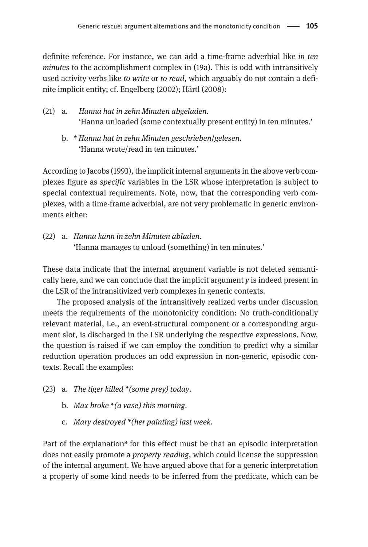definite reference. For instance, we can add a time-frame adverbial like *in ten minutes* to the accomplishment complex in (19a). This is odd with intransitively used activity verbs like *to write* or *to read*, which arguably do not contain a definite implicit entity; cf. Engelberg (2002); Härtl (2008):

- (21) a. *Hanna hat in zehn Minuten abgeladen*. 'Hanna unloaded (some contextually present entity) in ten minutes.'
	- b. \* *Hanna hat in zehn Minuten geschrieben*/*gelesen*. 'Hanna wrote/read in ten minutes.'

According to Jacobs (1993), the implicit internal arguments in the above verb complexes figure as *specific* variables in the LSR whose interpretation is subject to special contextual requirements. Note, now, that the corresponding verb complexes, with a time-frame adverbial, are not very problematic in generic environments either:

(22) a. *Hanna kann in zehn Minuten abladen*. 'Hanna manages to unload (something) in ten minutes.'

These data indicate that the internal argument variable is not deleted semantically here, and we can conclude that the implicit argument  $\gamma$  is indeed present in the LSR of the intransitivized verb complexes in generic contexts.

The proposed analysis of the intransitively realized verbs under discussion meets the requirements of the monotonicity condition: No truth-conditionally relevant material, i.e., an event-structural component or a corresponding argument slot, is discharged in the LSR underlying the respective expressions. Now, the question is raised if we can employ the condition to predict why a similar reduction operation produces an odd expression in non-generic, episodic contexts. Recall the examples:

- (23) a. *The tiger killed \*(some prey) today*.
	- b. *Max broke \*(a vase) this morning*.
	- c. *Mary destroyed \*(her painting) last week*.

Part of the explanation<sup>8</sup> for this effect must be that an episodic interpretation does not easily promote a *property reading*, which could license the suppression of the internal argument. We have argued above that for a generic interpretation a property of some kind needs to be inferred from the predicate, which can be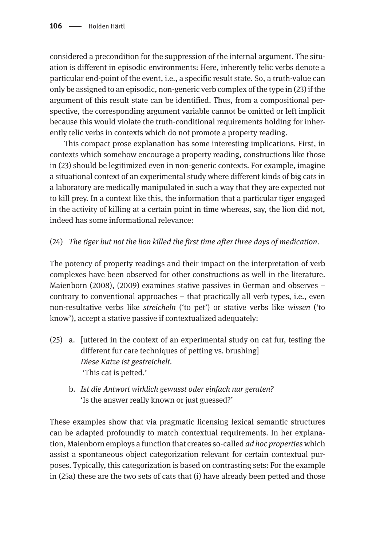considered a precondition for the suppression of the internal argument. The situation is different in episodic environments: Here, inherently telic verbs denote a particular end-point of the event, i.e., a specific result state. So, a truth-value can only be assigned to an episodic, non-generic verb complex of the type in (23) if the argument of this result state can be identified. Thus, from a compositional perspective, the corresponding argument variable cannot be omitted or left implicit because this would violate the truth-conditional requirements holding for inherently telic verbs in contexts which do not promote a property reading.

This compact prose explanation has some interesting implications. First, in contexts which somehow encourage a property reading, constructions like those in (23) should be legitimized even in non-generic contexts. For example, imagine a situational context of an experimental study where different kinds of big cats in a laboratory are medically manipulated in such a way that they are expected not to kill prey. In a context like this, the information that a particular tiger engaged in the activity of killing at a certain point in time whereas, say, the lion did not, indeed has some informational relevance:

#### (24) *The tiger but not the lion killed the first time after three days of medication*.

The potency of property readings and their impact on the interpretation of verb complexes have been observed for other constructions as well in the literature. Maienborn (2008), (2009) examines stative passives in German and observes – contrary to conventional approaches – that practically all verb types, i.e., even non-resultative verbs like *streicheln* ('to pet') or stative verbs like *wissen* ('to know'), accept a stative passive if contextualized adequately:

- (25) a. [uttered in the context of an experimental study on cat fur, testing the different fur care techniques of petting vs. brushing]  *Diese Katze ist gestreichelt.* 'This cat is petted.'
	- b. *Ist die Antwort wirklich gewusst oder einfach nur geraten?* 'Is the answer really known or just guessed?'

These examples show that via pragmatic licensing lexical semantic structures can be adapted profoundly to match contextual requirements. In her explanation, Maienborn employs a function that creates so-called *ad hoc properties* which assist a spontaneous object categorization relevant for certain contextual purposes. Typically, this categorization is based on contrasting sets: For the example in (25a) these are the two sets of cats that (i) have already been petted and those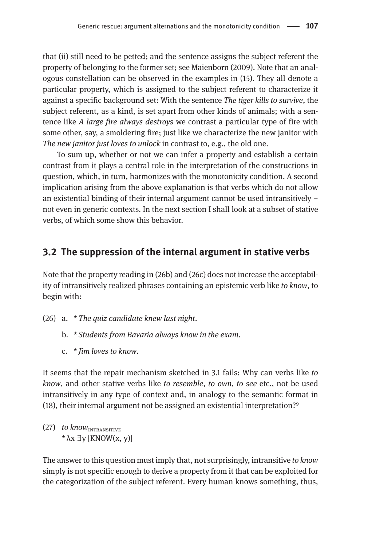that (ii) still need to be petted; and the sentence assigns the subject referent the property of belonging to the former set; see Maienborn (2009). Note that an analogous constellation can be observed in the examples in (15). They all denote a particular property, which is assigned to the subject referent to characterize it against a specific background set: With the sentence *The tiger kills to survive*, the subject referent, as a kind, is set apart from other kinds of animals; with a sentence like *A large fire always destroys* we contrast a particular type of fire with some other, say, a smoldering fire; just like we characterize the new janitor with *The new janitor just loves to unlock* in contrast to, e.g., the old one.

To sum up, whether or not we can infer a property and establish a certain contrast from it plays a central role in the interpretation of the constructions in question, which, in turn, harmonizes with the monotonicity condition. A second implication arising from the above explanation is that verbs which do not allow an existential binding of their internal argument cannot be used intransitively – not even in generic contexts. In the next section I shall look at a subset of stative verbs, of which some show this behavior.

## **3.2 The suppression of the internal argument in stative verbs**

Note that the property reading in (26b) and (26c) does not increase the acceptability of intransitively realized phrases containing an epistemic verb like *to know*, to begin with:

- (26) a. \* *The quiz candidate knew last night*.
	- b. \* *Students from Bavaria always know in the exam*.
	- c. \* *Jim loves to know*.

It seems that the repair mechanism sketched in 3.1 fails: Why can verbs like *to know*, and other stative verbs like *to resemble*, *to own*, *to see* etc., not be used intransitively in any type of context and, in analogy to the semantic format in  $(18)$ , their internal argument not be assigned an existential interpretation?<sup>9</sup>

(27) to know<sub>INTRANSITIVE</sub>  $* \lambda x \exists y$  [KNOW(x, y)]

The answer to this question must imply that, not surprisingly, intransitive *to know* simply is not specific enough to derive a property from it that can be exploited for the categorization of the subject referent. Every human knows something, thus,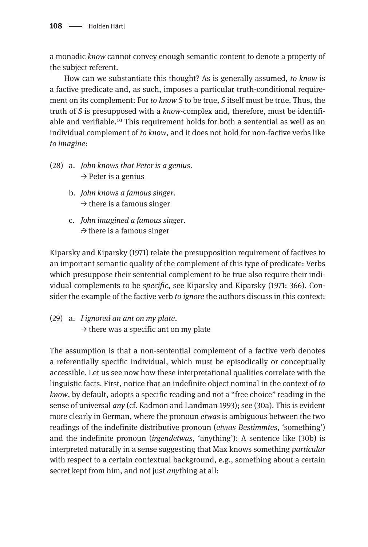a monadic *know* cannot convey enough semantic content to denote a property of the subject referent.

How can we substantiate this thought? As is generally assumed, *to know* is a factive predicate and, as such, imposes a particular truth-conditional requirement on its complement: For *to know S* to be true, *S* itself must be true. Thus, the truth of *S* is presupposed with a *know-*complex and, therefore, must be identifiable and verifiable.<sup>10</sup> This requirement holds for both a sentential as well as an individual complement of *to know*, and it does not hold for non-factive verbs like *to imagine*:

- (28) a. *John knows that Peter is a genius*.  $\rightarrow$  Peter is a genius
	- b. *John knows a famous singer*.  $\rightarrow$  there is a famous singer
	- c. *John imagined a famous singer*.  $\rightarrow$  there is a famous singer

Kiparsky and Kiparsky (1971) relate the presupposition requirement of factives to an important semantic quality of the complement of this type of predicate: Verbs which presuppose their sentential complement to be true also require their individual complements to be *specific*, see Kiparsky and Kiparsky (1971: 366). Consider the example of the factive verb *to ignore* the authors discuss in this context:

(29) a. *I ignored an ant on my plate*.  $\rightarrow$  there was a specific ant on my plate

The assumption is that a non-sentential complement of a factive verb denotes a referentially specific individual, which must be episodically or conceptually accessible. Let us see now how these interpretational qualities correlate with the linguistic facts. First, notice that an indefinite object nominal in the context of *to know*, by default, adopts a specific reading and not a "free choice" reading in the sense of universal *any* (cf. Kadmon and Landman 1993); see (30a). This is evident more clearly in German, where the pronoun *etwas* is ambiguous between the two readings of the indefinite distributive pronoun (*etwas Bestimmtes*, 'something') and the indefinite pronoun (*irgendetwas*, 'anything'): A sentence like (30b) is interpreted naturally in a sense suggesting that Max knows something *particular* with respect to a certain contextual background, e.g., something about a certain secret kept from him, and not just *any*thing at all: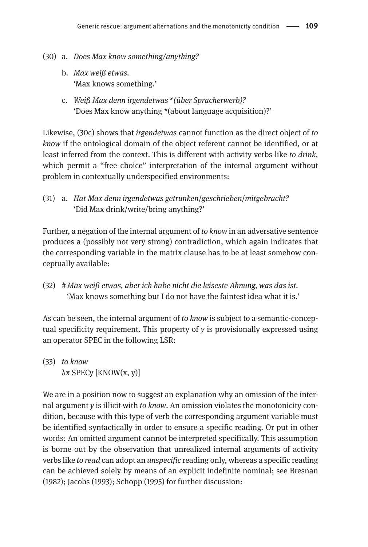- (30) a. *Does Max know something/anything?*
	- b. *Max weiß etwas.* 'Max knows something.'
	- c. *Weiß Max denn irgendetwas \*(über Spracherwerb)?* 'Does Max know anything \*(about language acquisition)?'

Likewise, (30c) shows that *irgendetwas* cannot function as the direct object of *to know* if the ontological domain of the object referent cannot be identified, or at least inferred from the context. This is different with activity verbs like *to drink*, which permit a "free choice" interpretation of the internal argument without problem in contextually underspecified environments:

(31) a. *Hat Max denn irgendetwas getrunken*/*geschrieben*/*mitgebracht?* 'Did Max drink/write/bring anything?'

Further, a negation of the internal argument of *to know* in an adversative sentence produces a (possibly not very strong) contradiction, which again indicates that the corresponding variable in the matrix clause has to be at least somehow conceptually available:

(32) # *Max weiß etwas, aber ich habe nicht die leiseste Ahnung, was das ist.* 'Max knows something but I do not have the faintest idea what it is.'

As can be seen, the internal argument of *to know* is subject to a semantic-conceptual specificity requirement. This property of *y* is provisionally expressed using an operator SPEC in the following LSR:

(33) *to know* λx SPECy [KNOW(x, y)]

We are in a position now to suggest an explanation why an omission of the internal argument *y* is illicit with *to know*. An omission violates the monotonicity condition, because with this type of verb the corresponding argument variable must be identified syntactically in order to ensure a specific reading. Or put in other words: An omitted argument cannot be interpreted specifically. This assumption is borne out by the observation that unrealized internal arguments of activity verbs like *to read* can adopt an *unspecific* reading only, whereas a specific reading can be achieved solely by means of an explicit indefinite nominal; see Bresnan (1982); Jacobs (1993); Schopp (1995) for further discussion: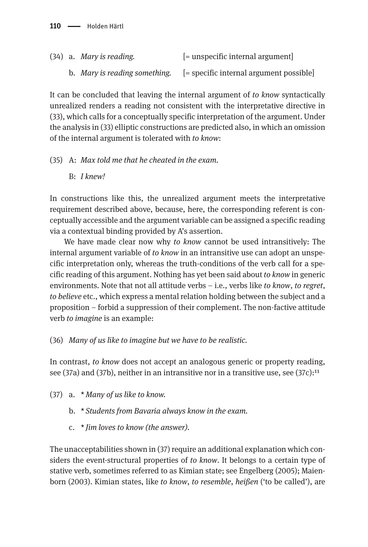#### 110 - Holden Härtl

|  | $(34)$ a. <i>Mary is reading</i> . | $\left[ =$ unspecific internal argument       |
|--|------------------------------------|-----------------------------------------------|
|  | b. Mary is reading something.      | $[$ = specific internal argument possible $]$ |

It can be concluded that leaving the internal argument of *to know* syntactically unrealized renders a reading not consistent with the interpretative directive in (33), which calls for a conceptually specific interpretation of the argument. Under the analysis in (33) elliptic constructions are predicted also, in which an omission of the internal argument is tolerated with *to know*:

#### (35) A: *Max told me that he cheated in the exam.*

B: *I knew!*

In constructions like this, the unrealized argument meets the interpretative requirement described above, because, here, the corresponding referent is conceptually accessible and the argument variable can be assigned a specific reading via a contextual binding provided by A's assertion.

We have made clear now why *to know* cannot be used intransitively: The internal argument variable of *to know* in an intransitive use can adopt an unspecific interpretation only, whereas the truth-conditions of the verb call for a specific reading of this argument. Nothing has yet been said about *to know* in generic environments. Note that not all attitude verbs – i.e., verbs like *to know*, *to regret*, *to believe* etc., which express a mental relation holding between the subject and a proposition – forbid a suppression of their complement. The non-factive attitude verb *to imagine* is an example:

#### (36) *Many of us like to imagine but we have to be realistic.*

In contrast, *to know* does not accept an analogous generic or property reading, see (37a) and (37b), neither in an intransitive nor in a transitive use, see (37c): $11$ 

- (37) a. \* *Many of us like to know.*
	- b. \* *Students from Bavaria always know in the exam.*
	- c. \* *Jim loves to know (the answer).*

The unacceptabilities shown in (37) require an additional explanation which considers the event-structural properties of *to know*. It belongs to a certain type of stative verb, sometimes referred to as Kimian state; see Engelberg (2005); Maienborn (2003). Kimian states, like *to know*, *to resemble*, *heißen* ('to be called'), are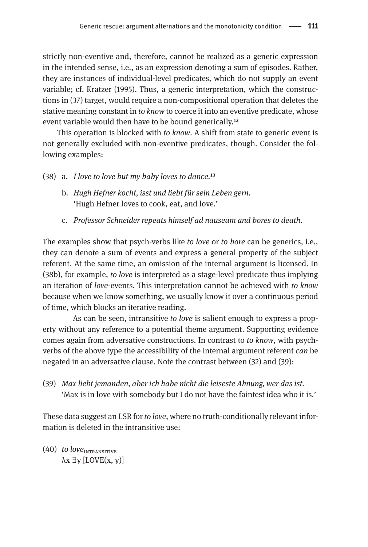strictly non-eventive and, therefore, cannot be realized as a generic expression in the intended sense, i.e., as an expression denoting a sum of episodes. Rather, they are instances of individual-level predicates, which do not supply an event variable; cf. Kratzer (1995). Thus, a generic interpretation, which the constructions in (37) target, would require a non-compositional operation that deletes the stative meaning constant in *to know* to coerce it into an eventive predicate, whose event variable would then have to be bound generically.<sup>12</sup>

This operation is blocked with *to know*. A shift from state to generic event is not generally excluded with non-eventive predicates, though. Consider the following examples:

- (38) a. *I love to love but my baby loves to dance*.<sup>13</sup>
	- b. *Hugh Hefner kocht, isst und liebt für sein Leben gern*. 'Hugh Hefner loves to cook, eat, and love.'
	- c. *Professor Schneider repeats himself ad nauseam and bores to death*.

The examples show that psych-verbs like *to love* or *to bore* can be generics, i.e., they can denote a sum of events and express a general property of the subject referent. At the same time, an omission of the internal argument is licensed. In (38b), for example, *to love* is interpreted as a stage-level predicate thus implying an iteration of *love*-events. This interpretation cannot be achieved with *to know* because when we know something, we usually know it over a continuous period of time, which blocks an iterative reading.

 As can be seen, intransitive *to love* is salient enough to express a property without any reference to a potential theme argument. Supporting evidence comes again from adversative constructions. In contrast to *to know*, with psychverbs of the above type the accessibility of the internal argument referent *can* be negated in an adversative clause. Note the contrast between (32) and (39):

(39) *Max liebt jemanden, aber ich habe nicht die leiseste Ahnung, wer das ist.* 'Max is in love with somebody but I do not have the faintest idea who it is.'

These data suggest an LSR for *to love*, where no truth-conditionally relevant information is deleted in the intransitive use:

(40) *to love* INTRANSITIVE  $\lambda$ x  $\exists$ y [LOVE(x, y)]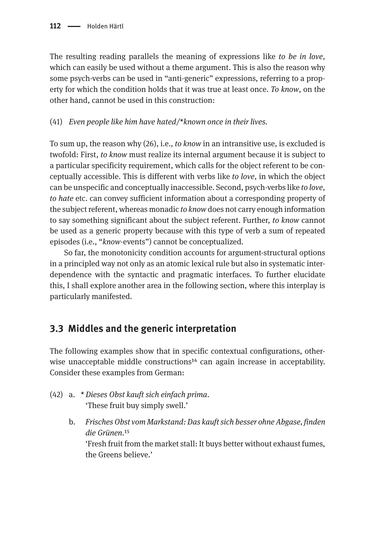The resulting reading parallels the meaning of expressions like *to be in love*, which can easily be used without a theme argument. This is also the reason why some psych-verbs can be used in "anti-generic" expressions, referring to a property for which the condition holds that it was true at least once. *To know*, on the other hand, cannot be used in this construction:

#### (41) *Even people like him have hated /\*known once in their lives.*

To sum up, the reason why (26), i.e., *to know* in an intransitive use, is excluded is twofold: First, *to know* must realize its internal argument because it is subject to a particular specificity requirement, which calls for the object referent to be conceptually accessible. This is different with verbs like *to love*, in which the object can be unspecific and conceptually inaccessible. Second, psych-verbs like *to love*, *to hate* etc. can convey sufficient information about a corresponding property of the subject referent, whereas monadic *to know* does not carry enough information to say something significant about the subject referent. Further, *to know* cannot be used as a generic property because with this type of verb a sum of repeated episodes (i.e., "*know*-events") cannot be conceptualized.

So far, the monotonicity condition accounts for argument-structural options in a principled way not only as an atomic lexical rule but also in systematic interdependence with the syntactic and pragmatic interfaces. To further elucidate this, I shall explore another area in the following section, where this interplay is particularly manifested.

## **3.3 Middles and the generic interpretation**

The following examples show that in specific contextual configurations, otherwise unacceptable middle constructions $14$  can again increase in acceptability. Consider these examples from German:

- (42) a. \* *Dieses Obst kauft sich einfach prima*. 'These fruit buy simply swell.'
	- b. *Frisches Obst vom Markstand: Das kauft sich besser ohne Abgase, finden*  die Grünen.<sup>15</sup> 'Fresh fruit from the market stall: It buys better without exhaust fumes, the Greens believe.'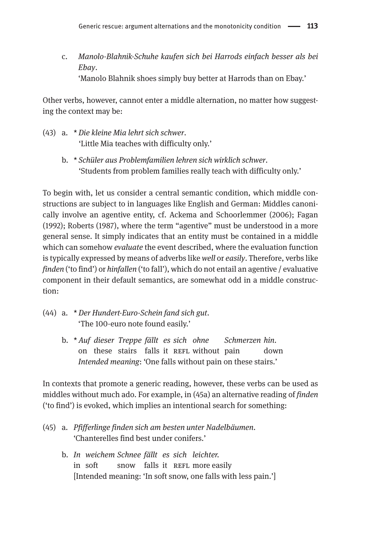c. *Manolo-Blahnik-Schuhe kaufen sich bei Harrods einfach besser als bei Ebay*. 'Manolo Blahnik shoes simply buy better at Harrods than on Ebay.'

Other verbs, however, cannot enter a middle alternation, no matter how suggesting the context may be:

- (43) a. \* *Die kleine Mia lehrt sich schwer*. 'Little Mia teaches with difficulty only.'
	- b. \* *Schüler aus Problemfamilien lehren sich wirklich schwer*. 'Students from problem families really teach with difficulty only.'

To begin with, let us consider a central semantic condition, which middle constructions are subject to in languages like English and German: Middles canonically involve an agentive entity, cf. Ackema and Schoorlemmer (2006); Fagan (1992); Roberts (1987), where the term "agentive" must be understood in a more general sense. It simply indicates that an entity must be contained in a middle which can somehow *evaluate* the event described, where the evaluation function is typically expressed by means of adverbs like *well* or *easily*. Therefore, verbs like *finden* ('to find') or *hinfallen* ('to fall'), which do not entail an agentive / evaluative component in their default semantics, are somewhat odd in a middle construction:

- (44) a. \* *Der Hundert-Euro-Schein fand sich gut*. 'The 100-euro note found easily.'
	- b. \* *Auf dieser Treppe fällt es sich ohne Schmerzen hin*. on these stairs falls it REFL without pain down  *Intended meaning*: 'One falls without pain on these stairs.'

In contexts that promote a generic reading, however, these verbs can be used as middles without much ado. For example, in (45a) an alternative reading of *finden* ('to find') is evoked, which implies an intentional search for something:

- (45) a. *Pfifferlinge finden sich am besten unter Nadelbäumen*. 'Chanterelles find best under conifers.'
	- b. *In weichem Schnee fällt es sich leichter.* in soft snow falls it REFL more easily [Intended meaning: 'In soft snow, one falls with less pain.']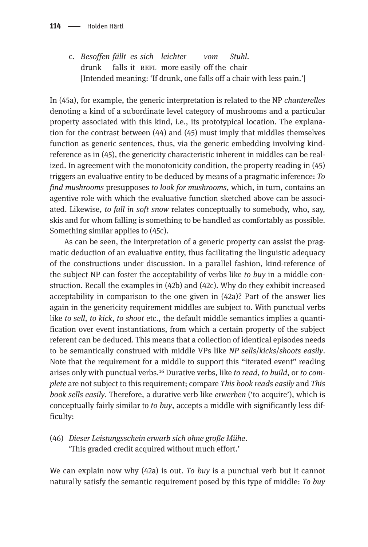c. *Besoffen fällt es sich leichter vom Stuhl*. drunk falls it REFL more easily off the chair [Intended meaning: 'If drunk, one falls off a chair with less pain.']

In (45a), for example, the generic interpretation is related to the NP *chanterelles*  denoting a kind of a subordinate level category of mushrooms and a particular property associated with this kind, i.e., its prototypical location. The explanation for the contrast between (44) and (45) must imply that middles themselves function as generic sentences, thus, via the generic embedding involving kindreference as in (45), the genericity characteristic inherent in middles can be realized. In agreement with the monotonicity condition, the property reading in (45) triggers an evaluative entity to be deduced by means of a pragmatic inference: *To find mushrooms* presupposes *to look for mushrooms*, which, in turn, contains an agentive role with which the evaluative function sketched above can be associated. Likewise, *to fall in soft snow* relates conceptually to somebody, who, say, skis and for whom falling is something to be handled as comfortably as possible. Something similar applies to (45c).

As can be seen, the interpretation of a generic property can assist the pragmatic deduction of an evaluative entity, thus facilitating the linguistic adequacy of the constructions under discussion. In a parallel fashion, kind-reference of the subject NP can foster the acceptability of verbs like *to buy* in a middle construction. Recall the examples in (42b) and (42c). Why do they exhibit increased acceptability in comparison to the one given in (42a)? Part of the answer lies again in the genericity requirement middles are subject to. With punctual verbs like *to sell*, *to kick*, *to shoot* etc., the default middle semantics implies a quantification over event instantiations, from which a certain property of the subject referent can be deduced. This means that a collection of identical episodes needs to be semantically construed with middle VPs like *NP sells*/*kicks*/*shoots easily*. Note that the requirement for a middle to support this "iterated event" reading arises only with punctual verbs.<sup>16</sup> Durative verbs, like *to read, to build, or to complete* are not subject to this requirement; compare *This book reads easily* and *This book sells easily*. Therefore, a durative verb like *erwerben* ('to acquire'), which is conceptually fairly similar to *to buy*, accepts a middle with significantly less difficulty:

(46) *Dieser Leistungsschein erwarb sich ohne große Mühe*. 'This graded credit acquired without much effort.'

We can explain now why (42a) is out. *To buy* is a punctual verb but it cannot naturally satisfy the semantic requirement posed by this type of middle: *To buy*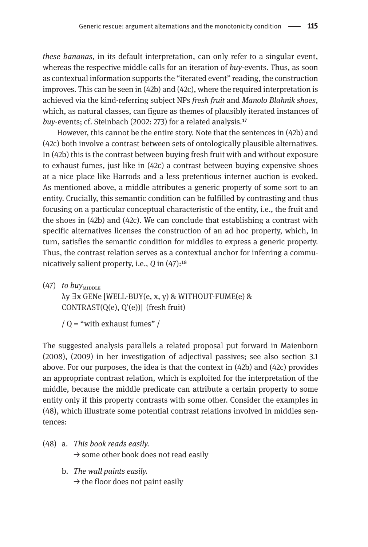*these bananas*, in its default interpretation, can only refer to a singular event, whereas the respective middle calls for an iteration of *buy-*events. Thus, as soon as contextual information supports the "iterated event" reading, the construction improves. This can be seen in (42b) and (42c), where the required interpretation is achieved via the kind-referring subject NPs *fresh fruit* and *Manolo Blahnik shoes*, which, as natural classes, can figure as themes of plausibly iterated instances of *buy-events; cf. Steinbach (2002: 273) for a related analysis.*<sup>17</sup>

However, this cannot be the entire story. Note that the sentences in (42b) and (42c) both involve a contrast between sets of ontologically plausible alternatives. In (42b) this is the contrast between buying fresh fruit with and without exposure to exhaust fumes, just like in (42c) a contrast between buying expensive shoes at a nice place like Harrods and a less pretentious internet auction is evoked. As mentioned above, a middle attributes a generic property of some sort to an entity. Crucially, this semantic condition can be fulfilled by contrasting and thus focusing on a particular conceptual characteristic of the entity, i.e., the fruit and the shoes in (42b) and (42c). We can conclude that establishing a contrast with specific alternatives licenses the construction of an ad hoc property, which, in turn, satisfies the semantic condition for middles to express a generic property. Thus, the contrast relation serves as a contextual anchor for inferring a communicatively salient property, i.e.,  $Q$  in  $(47):^{18}$ 

(47) *to buy*<sub>MIDDLE</sub> λy ∃x GENe [WELL-BUY(e, x, y) & WITHOUT-FUME(e) & CONTRAST(Q(e), Q'(e))] (fresh fruit)  $/ Q =$  "with exhaust fumes" /

The suggested analysis parallels a related proposal put forward in Maienborn (2008), (2009) in her investigation of adjectival passives; see also section 3.1 above. For our purposes, the idea is that the context in (42b) and (42c) provides an appropriate contrast relation, which is exploited for the interpretation of the middle, because the middle predicate can attribute a certain property to some entity only if this property contrasts with some other. Consider the examples in (48), which illustrate some potential contrast relations involved in middles sentences:

- (48) a. *This book reads easily.*  $\rightarrow$  some other book does not read easily
	- b. *The wall paints easily.*  $\rightarrow$  the floor does not paint easily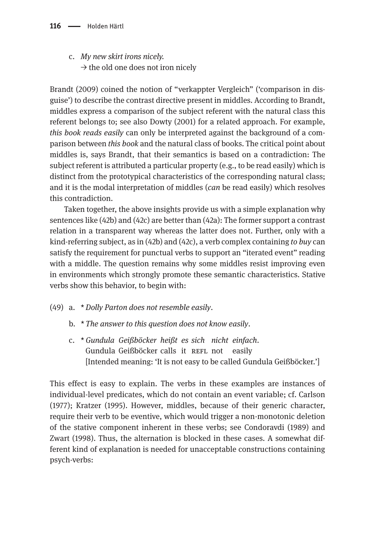c. *My new skirt irons nicely.*  $\rightarrow$  the old one does not iron nicely

Brandt (2009) coined the notion of "verkappter Vergleich" ('comparison in disguise') to describe the contrast directive present in middles. According to Brandt, middles express a comparison of the subject referent with the natural class this referent belongs to; see also Dowty (2001) for a related approach. For example, *this book reads easily* can only be interpreted against the background of a comparison between *this book* and the natural class of books. The critical point about middles is, says Brandt, that their semantics is based on a contradiction: The subject referent is attributed a particular property (e.g., to be read easily) which is distinct from the prototypical characteristics of the corresponding natural class; and it is the modal interpretation of middles (*can* be read easily) which resolves this contradiction.

Taken together, the above insights provide us with a simple explanation why sentences like (42b) and (42c) are better than (42a): The former support a contrast relation in a transparent way whereas the latter does not. Further, only with a kind-referring subject, as in (42b) and (42c), a verb complex containing *to buy* can satisfy the requirement for punctual verbs to support an "iterated event" reading with a middle. The question remains why some middles resist improving even in environments which strongly promote these semantic characteristics. Stative verbs show this behavior, to begin with:

- (49) a. \* *Dolly Parton does not resemble easily*.
	- b. \* *The answer to this question does not know easily*.
	- c. \* *Gundula Geißböcker heißt es sich nicht einfach*. Gundula Geißböcker calls it REFL not easily [Intended meaning: 'It is not easy to be called Gundula Geißböcker.']

This effect is easy to explain. The verbs in these examples are instances of individual-level predicates, which do not contain an event variable; cf. Carlson (1977); Kratzer (1995). However, middles, because of their generic character, require their verb to be eventive, which would trigger a non-monotonic deletion of the stative component inherent in these verbs; see Condoravdi (1989) and Zwart (1998). Thus, the alternation is blocked in these cases. A somewhat different kind of explanation is needed for unacceptable constructions containing psych-verbs: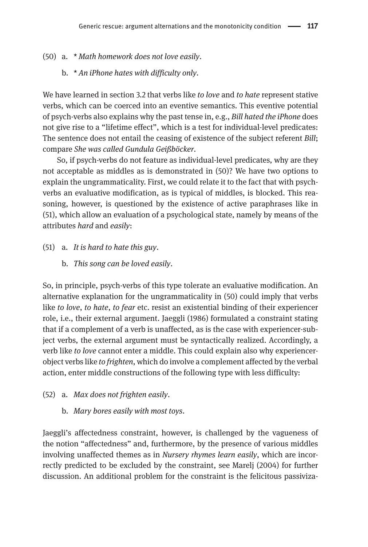#### (50) a. \* *Math homework does not love easily*.

#### b. \* *An iPhone hates with difficulty only*.

We have learned in section 3.2 that verbs like *to love* and *to hate* represent stative verbs, which can be coerced into an eventive semantics. This eventive potential of psych-verbs also explains why the past tense in, e.g., *Bill hated the iPhone* does not give rise to a "lifetime effect", which is a test for individual-level predicates: The sentence does not entail the ceasing of existence of the subject referent *Bill*; compare *She was called Gundula Geißböcker*.

So, if psych-verbs do not feature as individual-level predicates, why are they not acceptable as middles as is demonstrated in (50)? We have two options to explain the ungrammaticality. First, we could relate it to the fact that with psychverbs an evaluative modification, as is typical of middles, is blocked. This reasoning, however, is questioned by the existence of active paraphrases like in (51), which allow an evaluation of a psychological state, namely by means of the attributes *hard* and *easily*:

- (51) a. *It is hard to hate this guy*.
	- b. *This song can be loved easily*.

So, in principle, psych-verbs of this type tolerate an evaluative modification. An alternative explanation for the ungrammaticality in (50) could imply that verbs like *to love*, *to hate*, *to fear* etc. resist an existential binding of their experiencer role, i.e., their external argument. Jaeggli (1986) formulated a constraint stating that if a complement of a verb is unaffected, as is the case with experiencer-subject verbs, the external argument must be syntactically realized. Accordingly, a verb like *to love* cannot enter a middle. This could explain also why experiencerobject verbs like *to frighten*, which do involve a complement affected by the verbal action, enter middle constructions of the following type with less difficulty:

- (52) a. *Max does not frighten easily*.
	- b. *Mary bores easily with most toys*.

Jaeggli's affectedness constraint, however, is challenged by the vagueness of the notion "affectedness" and, furthermore, by the presence of various middles involving unaffected themes as in *Nursery rhymes learn easily*, which are incorrectly predicted to be excluded by the constraint, see Marelj (2004) for further discussion. An additional problem for the constraint is the felicitous passiviza-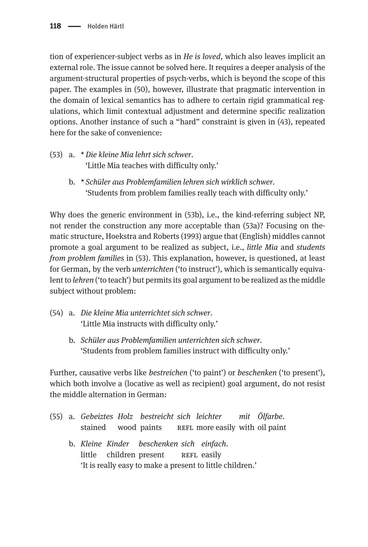tion of experiencer-subject verbs as in *He is loved*, which also leaves implicit an external role. The issue cannot be solved here. It requires a deeper analysis of the argument-structural properties of psych-verbs, which is beyond the scope of this paper. The examples in (50), however, illustrate that pragmatic intervention in the domain of lexical semantics has to adhere to certain rigid grammatical regulations, which limit contextual adjustment and determine specific realization options. Another instance of such a "hard" constraint is given in (43), repeated here for the sake of convenience:

- (53) a. \* *Die kleine Mia lehrt sich schwer*. 'Little Mia teaches with difficulty only.'
	- b. \* *Schüler aus Problemfamilien lehren sich wirklich schwer*. 'Students from problem families really teach with difficulty only.'

Why does the generic environment in (53b), i.e., the kind-referring subject NP, not render the construction any more acceptable than (53a)? Focusing on thematic structure, Hoekstra and Roberts (1993) argue that (English) middles cannot promote a goal argument to be realized as subject, i.e., *little Mia* and *students from problem families* in (53). This explanation, however, is questioned, at least for German, by the verb *unterrichten* ('to instruct'), which is semantically equivalent to *lehren* ('to teach') but permits its goal argument to be realized as the middle subject without problem:

- (54) a. *Die kleine Mia unterrichtet sich schwer*. 'Little Mia instructs with difficulty only.'
	- b. *Schüler aus Problemfamilien unterrichten sich schwer*. 'Students from problem families instruct with difficulty only.'

Further, causative verbs like *bestreichen* ('to paint') or *beschenken* ('to present'), which both involve a (locative as well as recipient) goal argument, do not resist the middle alternation in German:

- (55) a. *Gebeiztes Holz bestreicht sich leichter mit Ölfarbe*. stained wood paints REFL more easily with oil paint b. *Kleine Kinder beschenken sich einfach*.
	- little children present REFL easily 'It is really easy to make a present to little children.'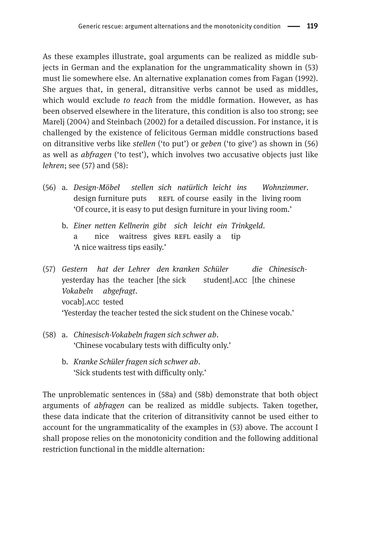As these examples illustrate, goal arguments can be realized as middle subjects in German and the explanation for the ungrammaticality shown in (53) must lie somewhere else. An alternative explanation comes from Fagan (1992). She argues that, in general, ditransitive verbs cannot be used as middles, which would exclude *to teach* from the middle formation. However, as has been observed elsewhere in the literature, this condition is also too strong; see Marelj (2004) and Steinbach (2002) for a detailed discussion. For instance, it is challenged by the existence of felicitous German middle constructions based on ditransitive verbs like *stellen* ('to put') or *geben* ('to give') as shown in (56) as well as *abfragen* ('to test'), which involves two accusative objects just like *lehren*; see (57) and (58):

- (56) a. *Design-Möbel stellen sich natürlich leicht ins Wohnzimmer*. design furniture puts REFL of course easily in the living room 'Of cource, it is easy to put design furniture in your living room.'
	- b. *Einer netten Kellnerin gibt sich leicht ein Trinkgeld*. a nice waitress gives REFL easily a tip 'A nice waitress tips easily.'
- (57) *Gestern hat der Lehrer den kranken Schüler die Chinesisch* yesterday has the teacher [the sick student].Acc [the chinese  *Vokabeln abgefragt*. vocab].acc tested 'Yesterday the teacher tested the sick student on the Chinese vocab.'
- (58) a. *Chinesisch-Vokabeln fragen sich schwer ab*. 'Chinese vocabulary tests with difficulty only.'
	- b. *Kranke Schüler fragen sich schwer ab*. 'Sick students test with difficulty only.'

The unproblematic sentences in (58a) and (58b) demonstrate that both object arguments of *abfragen* can be realized as middle subjects. Taken together, these data indicate that the criterion of ditransitivity cannot be used either to account for the ungrammaticality of the examples in (53) above. The account I shall propose relies on the monotonicity condition and the following additional restriction functional in the middle alternation: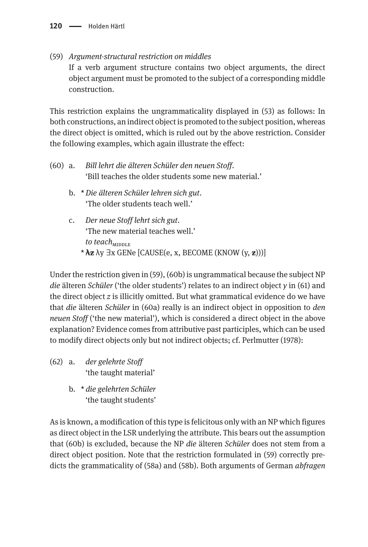(59) *Argument-structural restriction on middles*

 If a verb argument structure contains two object arguments, the direct object argument must be promoted to the subject of a corresponding middle construction.

This restriction explains the ungrammaticality displayed in (53) as follows: In both constructions, an indirect object is promoted to the subject position, whereas the direct object is omitted, which is ruled out by the above restriction. Consider the following examples, which again illustrate the effect:

- (60) a. *Bill lehrt die älteren Schüler den neuen Stoff*. 'Bill teaches the older students some new material.'
	- b. \* *Die älteren Schüler lehren sich gut*. 'The older students teach well.'
	- c. *Der neue Stoff lehrt sich gut*. 'The new material teaches well.' *to teach* $_{\text{MDDLE}}$ \* **λz** λy ∃x GENe [CAUSE(e, x, BECOME (KNOW (y, **z**)))]

Under the restriction given in (59), (60b) is ungrammatical because the subject NP *die* älteren *Schüler* ('the older students') relates to an indirect object  $\gamma$  in (61) and the direct object *z* is illicitly omitted. But what grammatical evidence do we have that *die* älteren *Schüler* in (60a) really is an indirect object in opposition to *den neuen Stoff* ('the new material'), which is considered a direct object in the above explanation? Evidence comes from attributive past participles, which can be used to modify direct objects only but not indirect objects; cf. Perlmutter (1978):

- (62) a. *der gelehrte Stoff*  'the taught material'
	- b. \* *die gelehrten Schüler* 'the taught students'

As is known, a modification of this type is felicitous only with an NP which figures as direct object in the LSR underlying the attribute. This bears out the assumption that (60b) is excluded, because the NP *die* älteren *Schüler* does not stem from a direct object position. Note that the restriction formulated in (59) correctly predicts the grammaticality of (58a) and (58b). Both arguments of German *abfragen*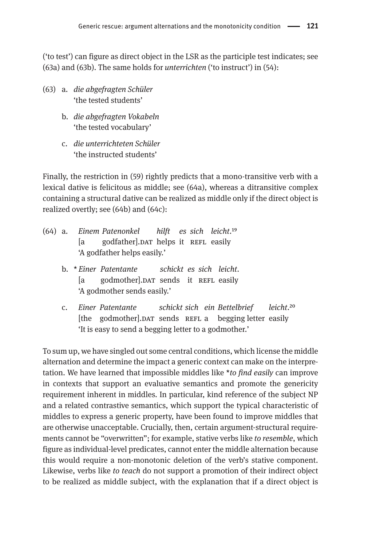('to test') can figure as direct object in the LSR as the participle test indicates; see (63a) and (63b). The same holds for *unterrichten* ('to instruct') in (54):

- (63) a. *die abgefragten Schüler* 'the tested students'
	- b. *die abgefragten Vokabeln* 'the tested vocabulary'
	- c. *die unterrichteten Schüler* 'the instructed students'

Finally, the restriction in (59) rightly predicts that a mono-transitive verb with a lexical dative is felicitous as middle; see (64a), whereas a ditransitive complex containing a structural dative can be realized as middle only if the direct object is realized overtly; see (64b) and (64c):

- (64) a. *Einem Patenonkel hilft es sich leicht*.<sup>19</sup> [a godfather].DAT helps it REFL easily 'A godfather helps easily.'
	- b. \* *Einer Patentante schickt es sich leicht*. [a godmother].DAT sends it REFL easily 'A godmother sends easily.'
	- c. *Einer Patentante schickt sich ein Bettelbrief leicht*.²⁰ [the godmother].DAT sends REFL a begging letter easily 'It is easy to send a begging letter to a godmother.'

To sum up, we have singled out some central conditions, which license the middle alternation and determine the impact a generic context can make on the interpretation. We have learned that impossible middles like \**to find easily* can improve in contexts that support an evaluative semantics and promote the genericity requirement inherent in middles. In particular, kind reference of the subject NP and a related contrastive semantics, which support the typical characteristic of middles to express a generic property, have been found to improve middles that are otherwise unacceptable. Crucially, then, certain argument-structural requirements cannot be "overwritten"; for example, stative verbs like *to resemble*, which figure as individual-level predicates, cannot enter the middle alternation because this would require a non-monotonic deletion of the verb's stative component. Likewise, verbs like *to teach* do not support a promotion of their indirect object to be realized as middle subject, with the explanation that if a direct object is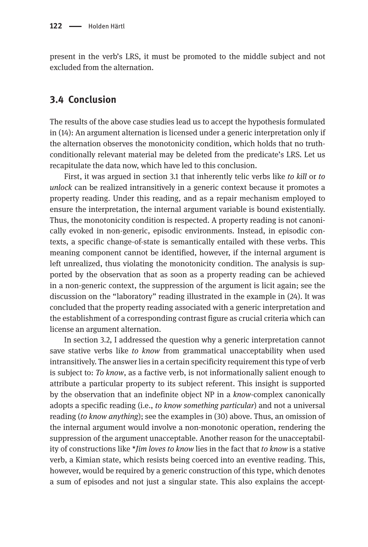present in the verb's LRS, it must be promoted to the middle subject and not excluded from the alternation.

### **3.4 Conclusion**

The results of the above case studies lead us to accept the hypothesis formulated in (14): An argument alternation is licensed under a generic interpretation only if the alternation observes the monotonicity condition, which holds that no truthconditionally relevant material may be deleted from the predicate's LRS. Let us recapitulate the data now, which have led to this conclusion.

First, it was argued in section 3.1 that inherently telic verbs like *to kill* or *to unlock* can be realized intransitively in a generic context because it promotes a property reading. Under this reading, and as a repair mechanism employed to ensure the interpretation, the internal argument variable is bound existentially. Thus, the monotonicity condition is respected. A property reading is not canonically evoked in non-generic, episodic environments. Instead, in episodic contexts, a specific change-of-state is semantically entailed with these verbs. This meaning component cannot be identified, however, if the internal argument is left unrealized, thus violating the monotonicity condition. The analysis is supported by the observation that as soon as a property reading can be achieved in a non-generic context, the suppression of the argument is licit again; see the discussion on the "laboratory" reading illustrated in the example in (24). It was concluded that the property reading associated with a generic interpretation and the establishment of a corresponding contrast figure as crucial criteria which can license an argument alternation.

In section 3.2, I addressed the question why a generic interpretation cannot save stative verbs like *to know* from grammatical unacceptability when used intransitively. The answer lies in a certain specificity requirement this type of verb is subject to: *To know*, as a factive verb, is not informationally salient enough to attribute a particular property to its subject referent. This insight is supported by the observation that an indefinite object NP in a *know-*complex canonically adopts a specific reading (i.e., *to know something particular*) and not a universal reading (*to know anything*); see the examples in (30) above. Thus, an omission of the internal argument would involve a non-monotonic operation, rendering the suppression of the argument unacceptable. Another reason for the unacceptability of constructions like \**Jim loves to know* lies in the fact that *to know* is a stative verb, a Kimian state, which resists being coerced into an eventive reading. This, however, would be required by a generic construction of this type, which denotes a sum of episodes and not just a singular state. This also explains the accept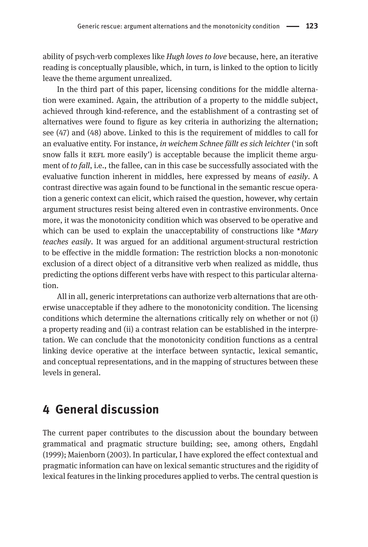ability of psych-verb complexes like *Hugh loves to love* because, here, an iterative reading is conceptually plausible, which, in turn, is linked to the option to licitly leave the theme argument unrealized.

In the third part of this paper, licensing conditions for the middle alternation were examined. Again, the attribution of a property to the middle subject, achieved through kind-reference, and the establishment of a contrasting set of alternatives were found to figure as key criteria in authorizing the alternation; see (47) and (48) above. Linked to this is the requirement of middles to call for an evaluative entity. For instance, *in weichem Schnee fällt es sich leichter* ('in soft snow falls it REFL more easily') is acceptable because the implicit theme argument of *to fall*, i.e., the fallee, can in this case be successfully associated with the evaluative function inherent in middles, here expressed by means of *easily*. A contrast directive was again found to be functional in the semantic rescue operation a generic context can elicit, which raised the question, however, why certain argument structures resist being altered even in contrastive environments. Once more, it was the monotonicity condition which was observed to be operative and which can be used to explain the unacceptability of constructions like \**Mary teaches easily*. It was argued for an additional argument-structural restriction to be effective in the middle formation: The restriction blocks a non-monotonic exclusion of a direct object of a ditransitive verb when realized as middle, thus predicting the options different verbs have with respect to this particular alternation.

All in all, generic interpretations can authorize verb alternations that are otherwise unacceptable if they adhere to the monotonicity condition. The licensing conditions which determine the alternations critically rely on whether or not (i) a property reading and (ii) a contrast relation can be established in the interpretation. We can conclude that the monotonicity condition functions as a central linking device operative at the interface between syntactic, lexical semantic, and conceptual representations, and in the mapping of structures between these levels in general.

# **4 General discussion**

The current paper contributes to the discussion about the boundary between grammatical and pragmatic structure building; see, among others, Engdahl (1999); Maienborn (2003). In particular, I have explored the effect contextual and pragmatic information can have on lexical semantic structures and the rigidity of lexical features in the linking procedures applied to verbs. The central question is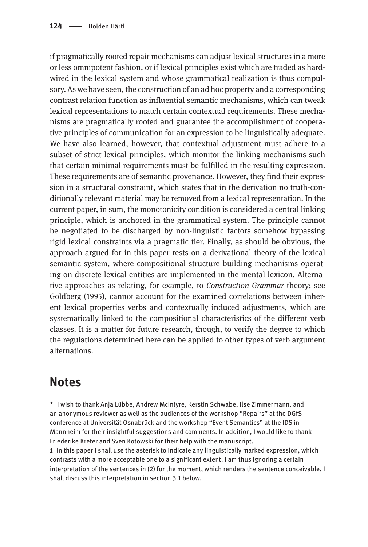if pragmatically rooted repair mechanisms can adjust lexical structures in a more or less omnipotent fashion, or if lexical principles exist which are traded as hardwired in the lexical system and whose grammatical realization is thus compulsory. As we have seen, the construction of an ad hoc property and a corresponding contrast relation function as influential semantic mechanisms, which can tweak lexical representations to match certain contextual requirements. These mechanisms are pragmatically rooted and guarantee the accomplishment of cooperative principles of communication for an expression to be linguistically adequate. We have also learned, however, that contextual adjustment must adhere to a subset of strict lexical principles, which monitor the linking mechanisms such that certain minimal requirements must be fulfilled in the resulting expression. These requirements are of semantic provenance. However, they find their expression in a structural constraint, which states that in the derivation no truth-conditionally relevant material may be removed from a lexical representation. In the current paper, in sum, the monotonicity condition is considered a central linking principle, which is anchored in the grammatical system. The principle cannot be negotiated to be discharged by non-linguistic factors somehow bypassing rigid lexical constraints via a pragmatic tier. Finally, as should be obvious, the approach argued for in this paper rests on a derivational theory of the lexical semantic system, where compositional structure building mechanisms operating on discrete lexical entities are implemented in the mental lexicon. Alternative approaches as relating, for example, to *Construction Grammar* theory; see Goldberg (1995), cannot account for the examined correlations between inherent lexical properties verbs and contextually induced adjustments, which are systematically linked to the compositional characteristics of the different verb classes. It is a matter for future research, though, to verify the degree to which the regulations determined here can be applied to other types of verb argument alternations.

# **Notes**

**\*** I wish to thank Anja Lübbe, Andrew McIntyre, Kerstin Schwabe, Ilse Zimmermann, and an anonymous reviewer as well as the audiences of the workshop "Repairs" at the DGfS conference at Universität Osnabrück and the workshop "Event Semantics" at the IDS in Mannheim for their insightful suggestions and comments. In addition, I would like to thank Friederike Kreter and Sven Kotowski for their help with the manuscript.

**1** In this paper I shall use the asterisk to indicate any linguistically marked expression, which contrasts with a more acceptable one to a significant extent. I am thus ignoring a certain interpretation of the sentences in (2) for the moment, which renders the sentence conceivable. I shall discuss this interpretation in section 3.1 below.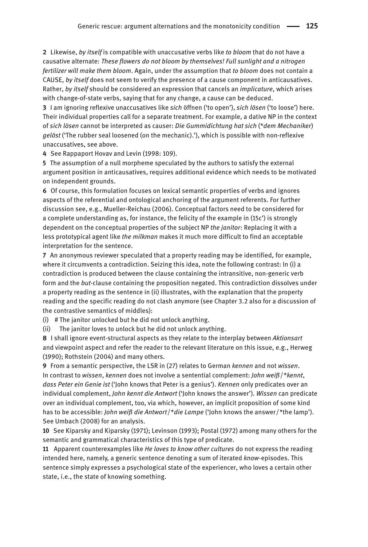**2** Likewise, *by itself* is compatible with unaccusative verbs like *to bloom* that do not have a causative alternate: *These flowers do not bloom by themselves! Full sunlight and a nitrogen fertilizer will make them bloom*. Again, under the assumption that *to bloom* does not contain a CAUSE, *by itself* does not seem to verify the presence of a cause component in anticausatives. Rather, *by itself* should be considered an expression that cancels an *implicature*, which arises with change-of-state verbs, saying that for any change, a cause can be deduced.

**3** I am ignoring reflexive unaccusatives like *sich* öffnen ('to open'), *sich lösen* ('to loose') here. Their individual properties call for a separate treatment. For example, a dative NP in the context of *sich lösen* cannot be interpreted as causer: *Die Gummidichtung hat sich* (\**dem Mechaniker*) *gelöst* ('The rubber seal loosened (on the mechanic).'), which is possible with non-reflexive unaccusatives, see above.

**4** See Rappaport Hovav and Levin (1998: 109).

**5** The assumption of a null morpheme speculated by the authors to satisfy the external argument position in anticausatives, requires additional evidence which needs to be motivated on independent grounds.

**6** Of course, this formulation focuses on lexical semantic properties of verbs and ignores aspects of the referential and ontological anchoring of the argument referents. For further discussion see, e.g., Mueller-Reichau (2006). Conceptual factors need to be considered for a complete understanding as, for instance, the felicity of the example in (15c') is strongly dependent on the conceptual properties of the subject NP *the janitor*: Replacing it with a less prototypical agent like *the milkman* makes it much more difficult to find an acceptable interpretation for the sentence.

**7** An anonymous reviewer speculated that a property reading may be identified, for example, where it circumvents a contradiction. Seizing this idea, note the following contrast: In (i) a contradiction is produced between the clause containing the intransitive, non-generic verb form and the *but*-clause containing the proposition negated. This contradiction dissolves under a property reading as the sentence in (ii) illustrates, with the explanation that the property reading and the specific reading do not clash anymore (see Chapter 3.2 also for a discussion of the contrastive semantics of middles):

(i) # The janitor unlocked but he did not unlock anything.

(ii) The janitor loves to unlock but he did not unlock anything.

**8** I shall ignore event-structural aspects as they relate to the interplay between *Aktionsart*  and viewpoint aspect and refer the reader to the relevant literature on this issue, e.g., Herweg (1990); Rothstein (2004) and many others.

**9** From a semantic perspective, the LSR in (27) relates to German *kennen* and not *wissen*. In contrast to *wissen*, *kennen* does not involve a sentential complement: *John weiß*/\**kennt*, *dass Peter ein Genie ist* ('John knows that Peter is a genius'). *Kennen* only predicates over an individual complement, *John kennt die Antwort* ('John knows the answer'). *Wissen* can predicate over an individual complement, too, via which, however, an implicit proposition of some kind has to be accessible: *John weiß die Antwort*/ \**die Lampe* ('John knows the answer / \*the lamp'). See Umbach (2008) for an analysis.

**10** See Kiparsky and Kiparsky (1971); Levinson (1993); Postal (1972) among many others for the semantic and grammatical characteristics of this type of predicate.

**11** Apparent counterexamples like *He loves to know other cultures* do not express the reading intended here, namely, a generic sentence denoting a sum of iterated *know-*episodes. This sentence simply expresses a psychological state of the experiencer, who loves a certain other state, i.e., the state of knowing something.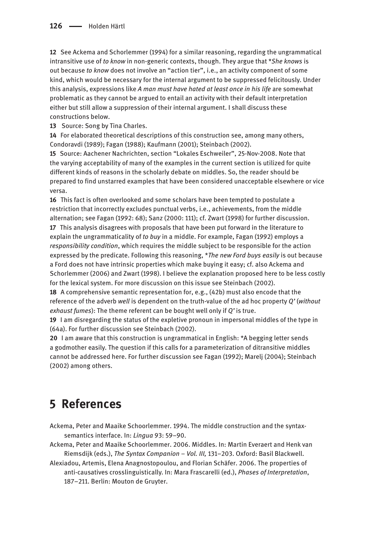**12** See Ackema and Schorlemmer (1994) for a similar reasoning, regarding the ungrammatical intransitive use of *to know* in non-generic contexts, though. They argue that \**She knows* is out because *to know* does not involve an "action tier", i.e., an activity component of some kind, which would be necessary for the internal argument to be suppressed felicitously. Under this analysis, expressions like *A man must have hated at least once in his life* are somewhat problematic as they cannot be argued to entail an activity with their default interpretation either but still allow a suppression of their internal argument. I shall discuss these constructions below.

**13** Source: Song by Tina Charles.

**14** For elaborated theoretical descriptions of this construction see, among many others, Condoravdi (1989); Fagan (1988); Kaufmann (2001); Steinbach (2002).

**15** Source: Aachener Nachrichten, section "Lokales Eschweiler", 25-Nov-2008. Note that the varying acceptability of many of the examples in the current section is utilized for quite different kinds of reasons in the scholarly debate on middles. So, the reader should be prepared to find unstarred examples that have been considered unacceptable elsewhere or vice versa.

**16** This fact is often overlooked and some scholars have been tempted to postulate a restriction that incorrectly excludes punctual verbs, i.e., achievements, from the middle alternation; see Fagan (1992: 68); Sanz (2000: 111); cf. Zwart (1998) for further discussion. **17** This analysis disagrees with proposals that have been put forward in the literature to explain the ungrammaticality of *to buy* in a middle. For example, Fagan (1992) employs a *responsibility condition*, which requires the middle subject to be responsible for the action expressed by the predicate. Following this reasoning, \**The new Ford buys easily* is out because a Ford does not have intrinsic properties which make buying it easy; cf. also Ackema and Schorlemmer (2006) and Zwart (1998). I believe the explanation proposed here to be less costly for the lexical system. For more discussion on this issue see Steinbach (2002).

**18** A comprehensive semantic representation for, e.g., (42b) must also encode that the reference of the adverb *well* is dependent on the truth-value of the ad hoc property *Q'* (*without exhaust fumes*): The theme referent can be bought well only if *Q'* is true.

**19** I am disregarding the status of the expletive pronoun in impersonal middles of the type in (64a). For further discussion see Steinbach (2002).

**20** I am aware that this construction is ungrammatical in English: \*A begging letter sends a godmother easily. The question if this calls for a parameterization of ditransitive middles cannot be addressed here. For further discussion see Fagan (1992); Marelj (2004); Steinbach (2002) among others.

# **5 References**

- Ackema, Peter and Maaike Schoorlemmer. 1994. The middle construction and the syntaxsemantics interface. In: *Lingua* 93: 59–90.
- Ackema, Peter and Maaike Schoorlemmer. 2006. Middles. In: Martin Everaert and Henk van Riemsdijk (eds.), *The Syntax Companion – Vol. III,* 131–203. Oxford: Basil Blackwell.
- Alexiadou, Artemis, Elena Anagnostopoulou, and Florian Schäfer. 2006. The properties of anti-causatives crosslinguistically. In: Mara Frascarelli (ed.), *Phases of Interpretation*, 187–211. Berlin: Mouton de Gruyter.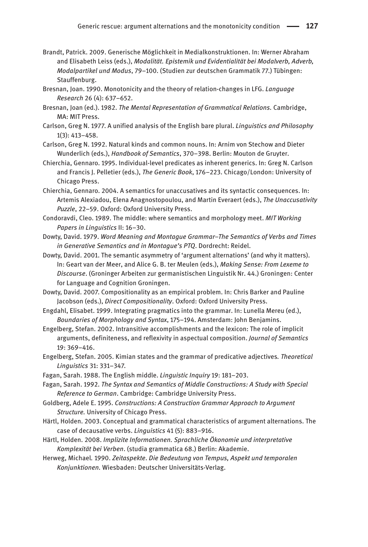- Brandt, Patrick. 2009. Generische Möglichkeit in Medialkonstruktionen. In: Werner Abraham and Elisabeth Leiss (eds.), *Modalität. Epistemik und Evidentialität bei Modalverb, Adverb, Modalpartikel und Modus*, 79–100. (Studien zur deutschen Grammatik 77.) Tübingen: Stauffenburg.
- Bresnan, Joan. 1990. Monotonicity and the theory of relation-changes in LFG. *Language Research* 26 (4): 637–652.
- Bresnan, Joan (ed.). 1982. *The Mental Representation of Grammatical Relations.* Cambridge, MA: MIT Press.
- Carlson, Greg N. 1977. A unified analysis of the English bare plural. *Linguistics and Philosophy*  1(3): 413–458.
- Carlson, Greg N. 1992. Natural kinds and common nouns. In: Arnim von Stechow and Dieter Wunderlich (eds.), *Handbook of Semantics*, 370–398. Berlin: Mouton de Gruyter.
- Chierchia, Gennaro. 1995. Individual-level predicates as inherent generics. In: Greg N. Carlson and Francis J. Pelletier (eds.), *The Generic Book*, 176–223. Chicago/London: University of Chicago Press.
- Chierchia, Gennaro. 2004. A semantics for unaccusatives and its syntactic consequences. In: Artemis Alexiadou, Elena Anagnostopoulou, and Martin Everaert (eds.), *The Unaccusativity Puzzle*, 22–59. Oxford: Oxford University Press.
- Condoravdi, Cleo. 1989. The middle: where semantics and morphology meet. *MIT Working Papers in Linguistics* II: 16–30.
- Dowty, David. 1979. *Word Meaning and Montague Grammar–The Semantics of Verbs and Times in Generative Semantics and in Montague's PTQ*. Dordrecht: Reidel.
- Dowty, David. 2001. The semantic asymmetry of 'argument alternations' (and why it matters). In: Geart van der Meer, and Alice G. B. ter Meulen (eds.), *Making Sense: From Lexeme to Discourse*. (Groninger Arbeiten zur germanistischen Linguistik Nr. 44.) Groningen: Center for Language and Cognition Groningen.
- Dowty, David. 2007. Compositionality as an empirical problem. In: Chris Barker and Pauline Jacobson (eds.), *Direct Compositionality*. Oxford: Oxford University Press.
- Engdahl, Elisabet. 1999. Integrating pragmatics into the grammar. In: Lunella Mereu (ed.), *Boundaries of Morphology and Syntax*, 175–194. Amsterdam: John Benjamins.
- Engelberg, Stefan. 2002. Intransitive accomplishments and the lexicon: The role of implicit arguments, definiteness, and reflexivity in aspectual composition. *Journal of Semantics* 19: 369–416.
- Engelberg, Stefan. 2005. Kimian states and the grammar of predicative adjectives*. Theoretical Linguistics* 31: 331–347.
- Fagan, Sarah. 1988. The English middle. *Linguistic Inquiry* 19: 181–203.
- Fagan, Sarah. 1992. *The Syntax and Semantics of Middle Constructions: A Study with Special Reference to German*. Cambridge: Cambridge University Press.
- Goldberg, Adele E. 1995. *Constructions: A Construction Grammar Approach to Argument Structure.* University of Chicago Press.
- Härtl, Holden. 2003. Conceptual and grammatical characteristics of argument alternations. The case of decausative verbs. *Linguistics* 41 (5): 883–916.
- Härtl, Holden. 2008. *Implizite Informationen. Sprachliche Ökonomie und interpretative Komplexität bei Verben*. (studia grammatica 68.) Berlin: Akademie.
- Herweg, Michael*.* 1990. *Zeitaspekte*. *Die Bedeutung von Tempus, Aspekt und temporalen Konjunktionen.* Wiesbaden: Deutscher Universitäts-Verlag.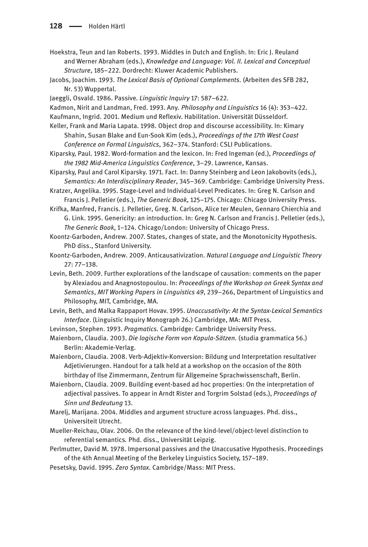Hoekstra, Teun and Ian Roberts. 1993. Middles in Dutch and English. In: Eric J. Reuland and Werner Abraham (eds.), *Knowledge and Language: Vol. II. Lexical and Conceptual Structure*, 185–222. Dordrecht: Kluwer Academic Publishers.

- Jacobs, Joachim. 1993. *The Lexical Basis of Optional Complements.* (Arbeiten des SFB 282, Nr. 53) Wuppertal.
- Jaeggli, Osvald. 1986. Passive*. Linguistic Inquiry* 17: 587–622.
- Kadmon, Nirit and Landman, Fred. 1993. Any*. Philosophy and Linguistics* 16 (4): 353–422.
- Kaufmann, Ingrid. 2001. Medium und Reflexiv. Habilitation. Universität Düsseldorf.

Keller, Frank and Maria Lapata. 1998. Object drop and discourse accessibility. In: Kimary Shahin, Susan Blake and Eun-Sook Kim (eds.), *Proceedings of the 17th West Coast Conference on Formal Linguistics*, 362–374. Stanford: CSLI Publications.

- Kiparsky, Paul. 1982. Word-formation and the lexicon. In: Fred Ingeman (ed.), *Proceedings of the 1982 Mid-America Linguistics Conference*, 3–29. Lawrence, Kansas.
- Kiparsky, Paul and Carol Kiparsky. 1971. Fact. In: Danny Steinberg and Leon Jakobovits (eds.), *Semantics: An Interdisciplinary Reader*, 345–369. Cambridge: Cambridge University Press.
- Kratzer, Angelika. 1995. Stage-Level and Individual-Level Predicates. In: Greg N. Carlson and Francis J. Pelletier (eds.), *The Generic Book*, 125–175. Chicago: Chicago University Press.

Krifka, Manfred, Francis. J. Pelletier, Greg. N. Carlson, Alice ter Meulen, Gennaro Chierchia and G. Link. 1995. Genericity: an introduction. In: Greg N. Carlson and Francis J. Pelletier (eds.), *The Generic Book*, 1–124. Chicago/London: University of Chicago Press.

Koontz-Garboden, Andrew. 2007. States, changes of state, and the Monotonicity Hypothesis. PhD diss., Stanford University.

Koontz-Garboden, Andrew. 2009. Anticausativization. *Natural Language and Linguistic Theory* 27: 77–138.

Levin, Beth. 2009. Further explorations of the landscape of causation: comments on the paper by Alexiadou and Anagnostopoulou. In: *Proceedings of the Workshop on Greek Syntax and Semantics*, *MIT Working Papers in Linguistics 49*, 239–266, Department of Linguistics and Philosophy, MIT, Cambridge, MA.

Levin, Beth, and Malka Rappaport Hovav. 1995. *Unaccusativity: At the Syntax-Lexical Semantics Interface*. (Linguistic Inquiry Monograph 26.) Cambridge, MA: MIT Press.

Levinson, Stephen. 1993. *Pragmatics.* Cambridge: Cambridge University Press.

Maienborn, Claudia. 2003. *Die logische Form von Kopula-Sätzen.* (studia grammatica 56.) Berlin: Akademie-Verlag.

Maienborn, Claudia. 2008. Verb-Adjektiv-Konversion: Bildung und Interpretation resultativer Adjetivierungen. Handout for a talk held at a workshop on the occasion of the 80th birthday of Ilse Zimmermann, Zentrum für Allgemeine Sprachwissenschaft, Berlin.

Maienborn, Claudia. 2009. Building event-based ad hoc properties: On the interpretation of adjectival passives. To appear in Arndt Rister and Torgrim Solstad (eds.), *Proceedings of Sinn und Bedeutung* 13.

Marelj, Marijana. 2004. Middles and argument structure across languages. Phd. diss., Universiteit Utrecht.

- Mueller-Reichau, Olav. 2006. On the relevance of the kind-level/object-level distinction to referential semantics*.* Phd. diss., Universität Leipzig.
- Perlmutter, David M. 1978. Impersonal passives and the Unaccusative Hypothesis. Proceedings of the 4th Annual Meeting of the Berkeley Linguistics Society, 157–189.

Pesetsky, David. 1995. *Zero Syntax*. Cambridge/Mass: MIT Press.